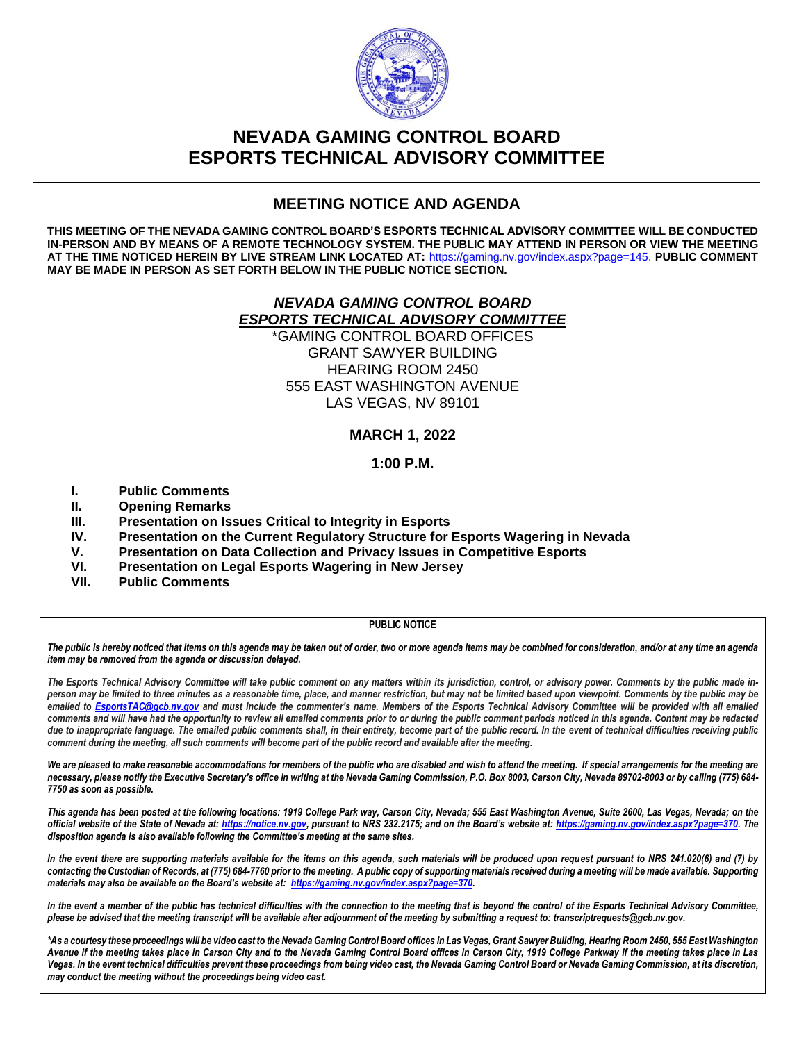

# **NEVADA GAMING CONTROL BOARD ESPORTS TECHNICAL ADVISORY COMMITTEE**

## **MEETING NOTICE AND AGENDA**

**THIS MEETING OF THE NEVADA GAMING CONTROL BOARD'S ESPORTS TECHNICAL ADVISORY COMMITTEE WILL BE CONDUCTED IN-PERSON AND BY MEANS OF A REMOTE TECHNOLOGY SYSTEM. THE PUBLIC MAY ATTEND IN PERSON OR VIEW THE MEETING AT THE TIME NOTICED HEREIN BY LIVE STREAM LINK LOCATED AT:** [https://gaming.nv.gov/index.aspx?page=145.](https://gaming.nv.gov/index.aspx?page=145) **PUBLIC COMMENT MAY BE MADE IN PERSON AS SET FORTH BELOW IN THE PUBLIC NOTICE SECTION.**

### *NEVADA GAMING CONTROL BOARD ESPORTS TECHNICAL ADVISORY COMMITTEE*

\*GAMING CONTROL BOARD OFFICES GRANT SAWYER BUILDING HEARING ROOM 2450 555 EAST WASHINGTON AVENUE LAS VEGAS, NV 89101

### **MARCH 1, 2022**

### **1:00 P.M.**

- **I. Public Comments**
- **II. Opening Remarks**
- **III. Presentation on Issues Critical to Integrity in Esports**
- **IV. Presentation on the Current Regulatory Structure for Esports Wagering in Nevada**
- **V. Presentation on Data Collection and Privacy Issues in Competitive Esports**
- **VI. Presentation on Legal Esports Wagering in New Jersey**
- **VII. Public Comments**

#### **PUBLIC NOTICE**

*The public is hereby noticed that items on this agenda may be taken out of order, two or more agenda items may be combined for consideration, and/or at any time an agenda item may be removed from the agenda or discussion delayed.*

The Esports Technical Advisory Committee will take public comment on any matters within its jurisdiction, control, or advisory power. Comments by the public made in*person may be limited to three minutes as a reasonable time, place, and manner restriction, but may not be limited based upon viewpoint. Comments by the public may be emailed to [EsportsTAC@gcb.nv.gov](mailto:EsportsTAC@gcb.nv.gov) and must include the commenter's name. Members of the Esports Technical Advisory Committee will be provided with all emailed comments and will have had the opportunity to review all emailed comments prior to or during the public comment periods noticed in this agenda. Content may be redacted due to inappropriate language. The emailed public comments shall, in their entirety, become part of the public record. In the event of technical difficulties receiving public comment during the meeting, all such comments will become part of the public record and available after the meeting.*

We are pleased to make reasonable accommodations for members of the public who are disabled and wish to attend the meeting. If special arrangements for the meeting are *necessary, please notify the Executive Secretary's office in writing at the Nevada Gaming Commission, P.O. Box 8003, Carson City, Nevada 89702-8003 or by calling (775) 684- 7750 as soon as possible.*

*This agenda has been posted at the following locations: 1919 College Park way, Carson City, Nevada; 555 East Washington Avenue, Suite 2600, Las Vegas, Nevada; on the official website of the State of Nevada at[: https://notice.nv.gov](https://notice.nv.gov/), pursuant to NRS 232.2175; and on the Board's website at: [https://gaming.nv.gov/index.aspx?page=370.](https://gaming.nv.gov/index.aspx?page=370) The disposition agenda is also available following the Committee's meeting at the same sites.* 

*In the event there are supporting materials available for the items on this agenda, such materials will be produced upon request pursuant to NRS 241.020(6) and (7) by contacting the Custodian of Records, at (775) 684-7760 prior to the meeting. A public copy of supporting materials received during a meeting will be made available. Supporting materials may also be available on the Board's website at: [https://gaming.nv.gov/index.aspx?page=370.](https://gaming.nv.gov/index.aspx?page=370)* 

*In the event a member of the public has technical difficulties with the connection to the meeting that is beyond the control of the Esports Technical Advisory Committee, please be advised that the meeting transcript will be available after adjournment of the meeting by submitting a request to[: transcriptrequests@gcb.nv.gov.](mailto:transcriptrequests@gcb.nv.gov)*

*\*As a courtesy these proceedings will be video cast to the Nevada Gaming Control Board offices in Las Vegas, Grant Sawyer Building, Hearing Room 2450, 555 East Washington Avenue if the meeting takes place in Carson City and to the Nevada Gaming Control Board offices in Carson City, 1919 College Parkway if the meeting takes place in Las*  Vegas. In the event technical difficulties prevent these proceedings from being video cast, the Nevada Gaming Control Board or Nevada Gaming Commission, at its discretion, *may conduct the meeting without the proceedings being video cast.*